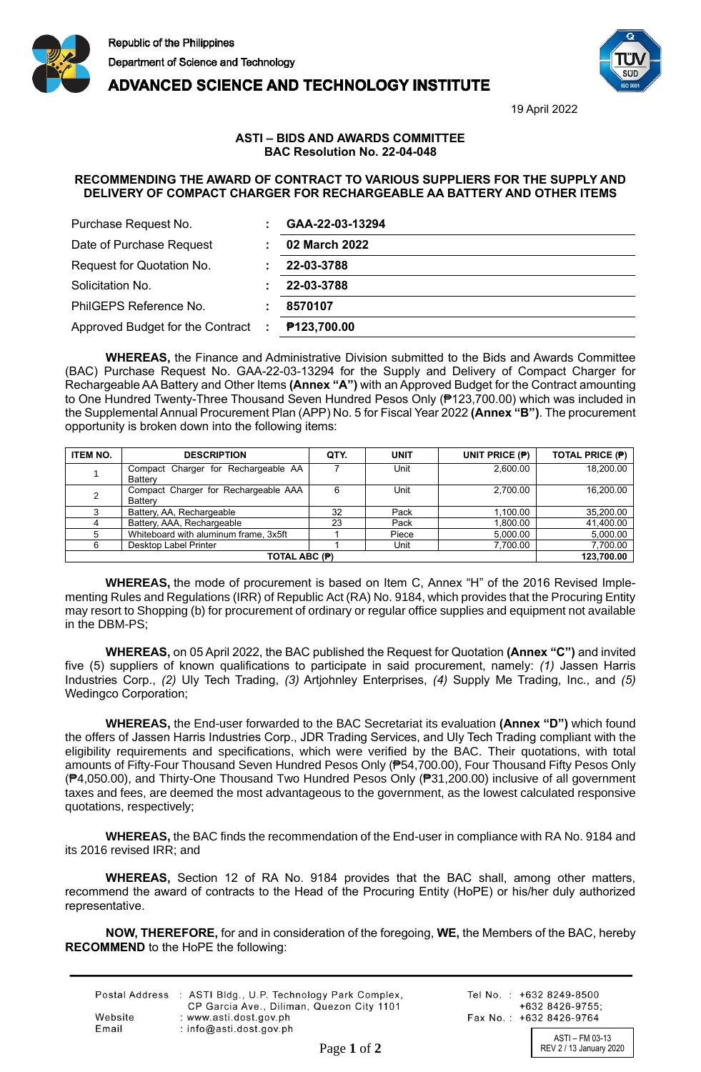



**ADVANCED SCIENCE AND TECHNOLOGY INSTITUTE** 

19 April 2022

## **ASTI – BIDS AND AWARDS COMMITTEE BAC Resolution No. 22-04-048**

## **RECOMMENDING THE AWARD OF CONTRACT TO VARIOUS SUPPLIERS FOR THE SUPPLY AND DELIVERY OF COMPACT CHARGER FOR RECHARGEABLE AA BATTERY AND OTHER ITEMS**

| Purchase Request No.               | GAA-22-03-13294    |
|------------------------------------|--------------------|
| Date of Purchase Request           | 02 March 2022      |
| Request for Quotation No.          | 22-03-3788         |
| Solicitation No.                   | 22-03-3788         |
| PhilGEPS Reference No.             | 8570107            |
| Approved Budget for the Contract : | <b>P123,700.00</b> |

**WHEREAS,** the Finance and Administrative Division submitted to the Bids and Awards Committee (BAC) Purchase Request No. GAA-22-03-13294 for the Supply and Delivery of Compact Charger for Rechargeable AA Battery and Other Items **(Annex "A")** with an Approved Budget for the Contract amounting to One Hundred Twenty-Three Thousand Seven Hundred Pesos Only (₱123,700.00) which was included in the Supplemental Annual Procurement Plan (APP) No. 5 for Fiscal Year 2022 **(Annex "B")**. The procurement opportunity is broken down into the following items:

| <b>ITEM NO.</b> | <b>DESCRIPTION</b>                    | QTY. | <b>UNIT</b> | UNIT PRICE (P) | <b>TOTAL PRICE (P)</b> |
|-----------------|---------------------------------------|------|-------------|----------------|------------------------|
|                 | Compact Charger for Rechargeable AA   |      | Unit        | 2,600.00       | 18.200.00              |
|                 | <b>Battery</b>                        |      |             |                |                        |
|                 | Compact Charger for Rechargeable AAA  | 6    | Unit        | 2.700.00       | 16.200.00              |
|                 | Battery                               |      |             |                |                        |
|                 | Battery, AA, Rechargeable             | 32   | Pack        | 1.100.00       | 35,200.00              |
|                 | Battery, AAA, Rechargeable            | 23   | Pack        | 1.800.00       | 41,400.00              |
|                 | Whiteboard with aluminum frame, 3x5ft |      | Piece       | 5.000.00       | 5,000.00               |
| 6               | Desktop Label Printer                 |      | Unit        | 7.700.00       | 7,700.00               |
|                 | 123,700.00                            |      |             |                |                        |

**WHEREAS,** the mode of procurement is based on Item C, Annex "H" of the 2016 Revised Implementing Rules and Regulations (IRR) of Republic Act (RA) No. 9184, which provides that the Procuring Entity may resort to Shopping (b) for procurement of ordinary or regular office supplies and equipment not available in the DBM-PS;

**WHEREAS,** on 05 April 2022, the BAC published the Request for Quotation **(Annex "C")** and invited five (5) suppliers of known qualifications to participate in said procurement, namely: *(1)* Jassen Harris Industries Corp., *(2)* Uly Tech Trading, *(3)* Artjohnley Enterprises, *(4)* Supply Me Trading, Inc., and *(5)* Wedingco Corporation;

**WHEREAS,** the End-user forwarded to the BAC Secretariat its evaluation **(Annex "D")** which found the offers of Jassen Harris Industries Corp., JDR Trading Services, and Uly Tech Trading compliant with the eligibility requirements and specifications, which were verified by the BAC. Their quotations, with total amounts of Fifty-Four Thousand Seven Hundred Pesos Only (₱54,700.00), Four Thousand Fifty Pesos Only (₱4,050.00), and Thirty-One Thousand Two Hundred Pesos Only (₱31,200.00) inclusive of all government taxes and fees, are deemed the most advantageous to the government, as the lowest calculated responsive quotations, respectively;

**WHEREAS,** the BAC finds the recommendation of the End-user in compliance with RA No. 9184 and its 2016 revised IRR; and

**WHEREAS,** Section 12 of RA No. 9184 provides that the BAC shall, among other matters, recommend the award of contracts to the Head of the Procuring Entity (HoPE) or his/her duly authorized representative.

**NOW, THEREFORE,** for and in consideration of the foregoing, **WE,** the Members of the BAC, hereby **RECOMMEND** to the HoPE the following:

|         | Postal Address : ASTI Bldg., U.P. Technology Park Complex,<br>CP Garcia Ave., Diliman, Quezon City 1101 |
|---------|---------------------------------------------------------------------------------------------------------|
| Website | : www.asti.dost.gov.ph                                                                                  |
| Email   | : $info@asti.dost.gov.ph$                                                                               |

Tel No.: +632 8249-8500  $+6328426-9755$ Fax No.: +632 8426-9764

ASTI – FM 03-13 Page 1 of 2 REV 2 / 13 January 2020